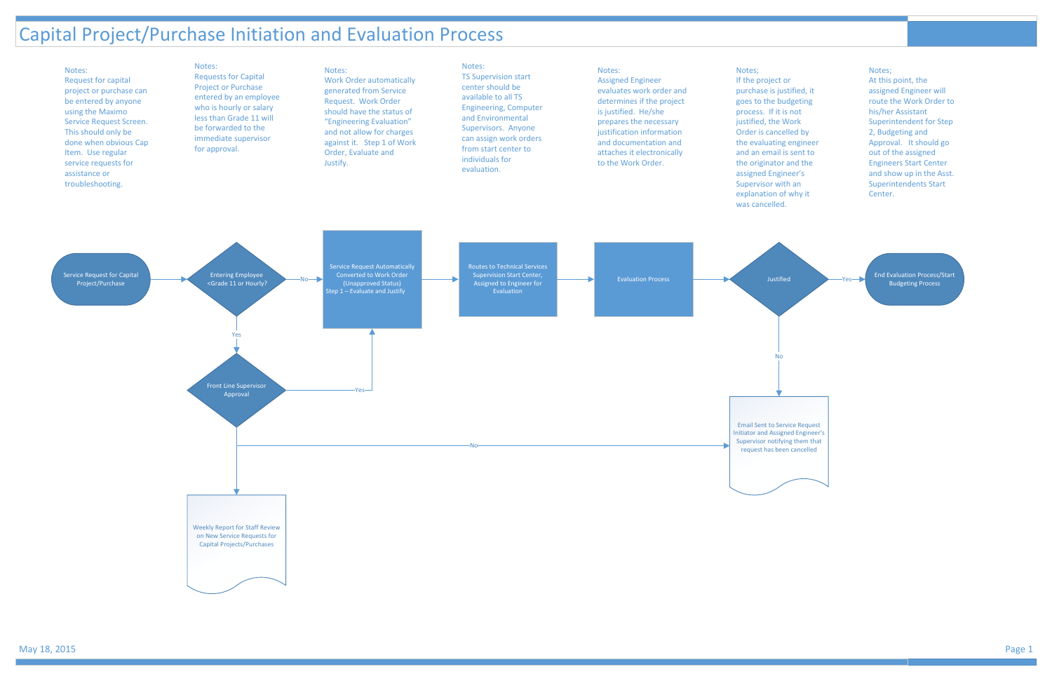### Capital Project/Purchase Initiation and Evaluation Process

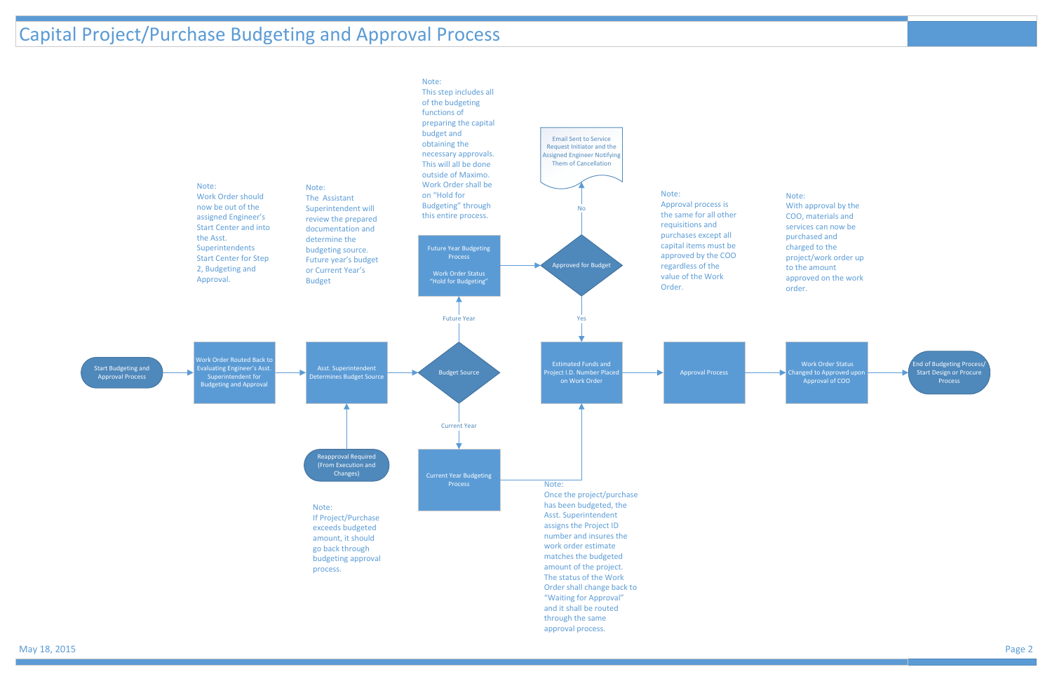## Capital Project/Purchase Budgeting and Approval Process

Work Order Status hanged to Approved up Approval of COO

End of Budgeting Process/ Start Design or Procure Process





Note: With approval by the COO, materials and

services can now be purchased and charged to the project/work order up to the amount approved on the work order.